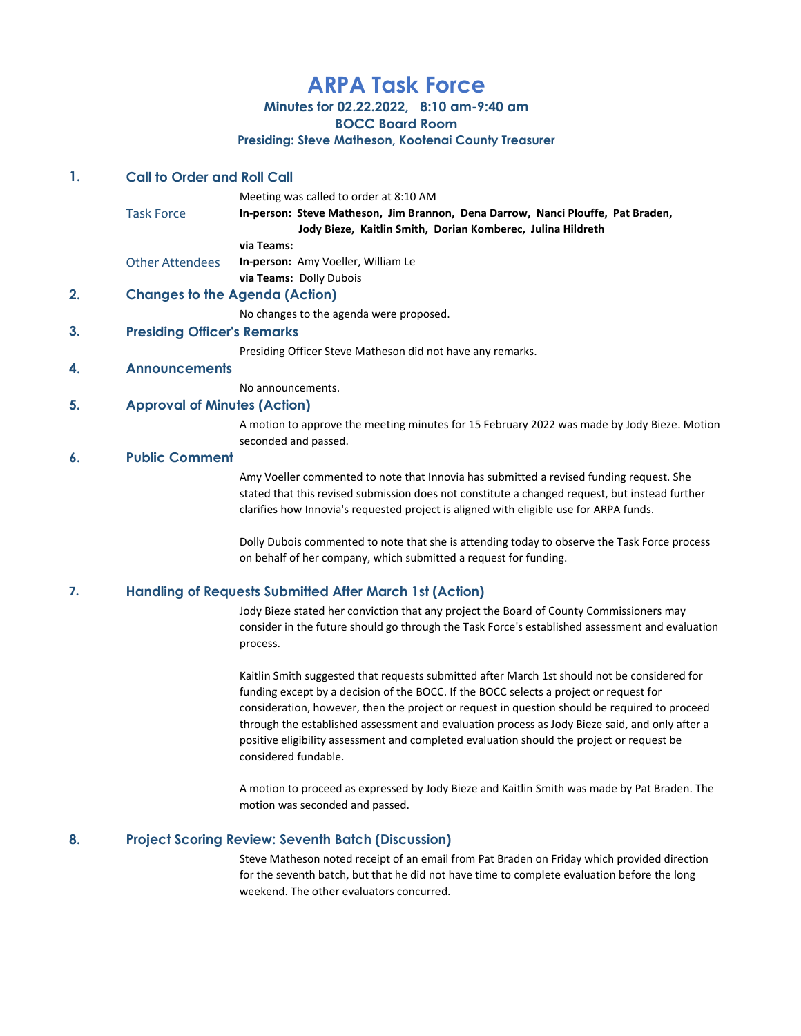# ARPA Task Force

Minutes for 02.22.2022, 8:10 am-9:40 am

BOCC Board Room

Presiding: Steve Matheson, Kootenai County Treasurer

## 1. Call to Order and Roll Call

|                        | Meeting was called to order at 8:10 AM                                                                                                         |
|------------------------|------------------------------------------------------------------------------------------------------------------------------------------------|
| <b>Task Force</b>      | In-person: Steve Matheson, Jim Brannon, Dena Darrow, Nanci Plouffe, Pat Braden,<br>Jody Bieze, Kaitlin Smith, Dorian Komberec, Julina Hildreth |
|                        | via Teams:                                                                                                                                     |
| <b>Other Attendees</b> | <b>In-person:</b> Amy Voeller, William Le                                                                                                      |

via Teams: Dolly Dubois

# 2. Changes to the Agenda (Action)

No changes to the agenda were proposed.

## 3. Presiding Officer's Remarks

Presiding Officer Steve Matheson did not have any remarks.

## 4. Announcements

No announcements.

## 5. Approval of Minutes (Action)

A motion to approve the meeting minutes for 15 February 2022 was made by Jody Bieze. Motion seconded and passed.

### 6. Public Comment

Amy Voeller commented to note that Innovia has submitted a revised funding request. She stated that this revised submission does not constitute a changed request, but instead further clarifies how Innovia's requested project is aligned with eligible use for ARPA funds.

Dolly Dubois commented to note that she is attending today to observe the Task Force process on behalf of her company, which submitted a request for funding.

### 7. Handling of Requests Submitted After March 1st (Action)

Jody Bieze stated her conviction that any project the Board of County Commissioners may consider in the future should go through the Task Force's established assessment and evaluation process.

Kaitlin Smith suggested that requests submitted after March 1st should not be considered for funding except by a decision of the BOCC. If the BOCC selects a project or request for consideration, however, then the project or request in question should be required to proceed through the established assessment and evaluation process as Jody Bieze said, and only after a positive eligibility assessment and completed evaluation should the project or request be considered fundable.

A motion to proceed as expressed by Jody Bieze and Kaitlin Smith was made by Pat Braden. The motion was seconded and passed.

## 8. Project Scoring Review: Seventh Batch (Discussion)

Steve Matheson noted receipt of an email from Pat Braden on Friday which provided direction for the seventh batch, but that he did not have time to complete evaluation before the long weekend. The other evaluators concurred.